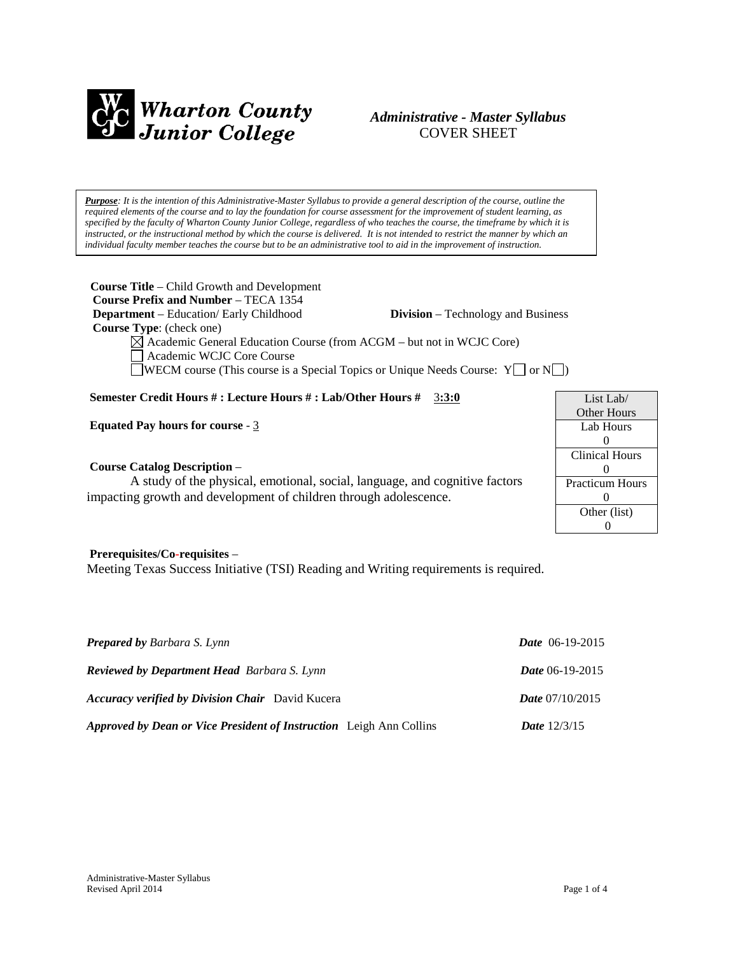

# *Administrative - Master Syllabus*  COVER SHEET

*Purpose: It is the intention of this Administrative-Master Syllabus to provide a general description of the course, outline the required elements of the course and to lay the foundation for course assessment for the improvement of student learning, as specified by the faculty of Wharton County Junior College, regardless of who teaches the course, the timeframe by which it is instructed, or the instructional method by which the course is delivered. It is not intended to restrict the manner by which an individual faculty member teaches the course but to be an administrative tool to aid in the improvement of instruction.*

**Course Title** – Child Growth and Development  **Course Prefix and Number** – TECA 1354 **Department** – Education/ Early Childhood **Division** – Technology and Business  **Course Type**: (check one)  $\boxtimes$  Academic General Education Course (from ACGM – but not in WCJC Core) Academic WCJC Core Course

WECM course (This course is a Special Topics or Unique Needs Course:  $Y \Box$  or  $N \Box$ )

## **Semester Credit Hours # : Lecture Hours # : Lab/Other Hours #** 3**:3:0**

**Equated Pay hours for course** - 3

#### **Course Catalog Description** –

A study of the physical, emotional, social, language, and cognitive factors impacting growth and development of children through adolescence.

#### **Prerequisites/Co-requisites** –

Meeting Texas Success Initiative (TSI) Reading and Writing requirements is required.

| <b>Prepared by Barbara S. Lynn</b>                                         | <i>Date</i> $06-19-2015$ |
|----------------------------------------------------------------------------|--------------------------|
| <b>Reviewed by Department Head Barbara S. Lynn</b>                         | <b>Date</b> 06-19-2015   |
| <b>Accuracy verified by Division Chair</b> David Kucera                    | <b>Date</b> $07/10/2015$ |
| <b>Approved by Dean or Vice President of Instruction</b> Leigh Ann Collins | <b>Date</b> $12/3/15$    |

List Lab/ Other Hours Lab Hours  $\Omega$ Clinical Hours  $\Omega$ Practicum Hours  $\theta$ Other (list) 0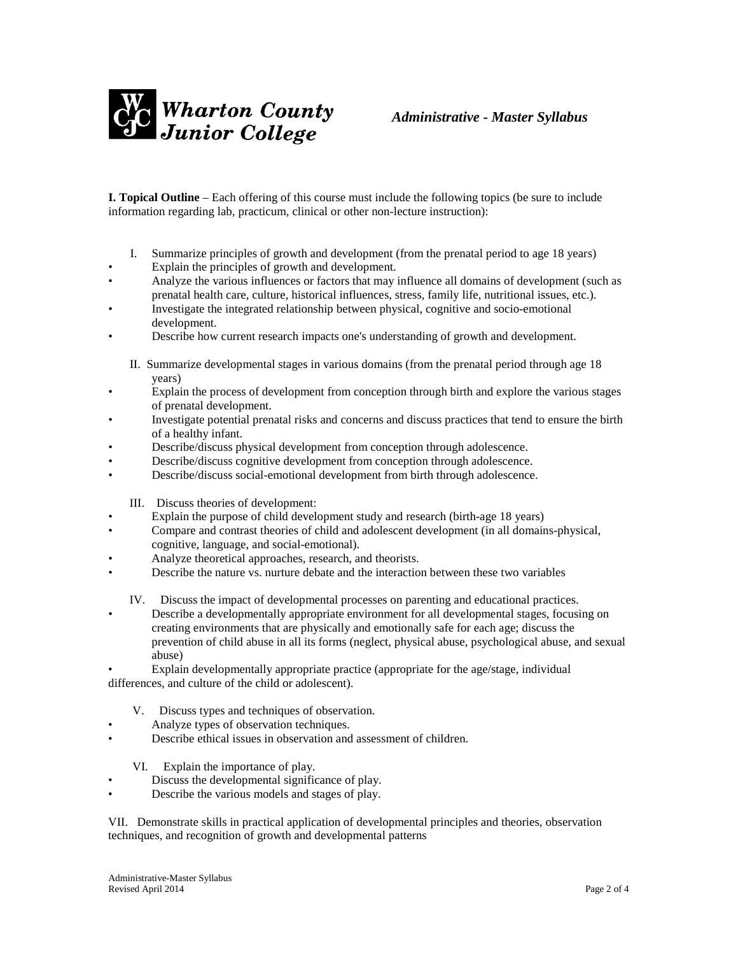

**I. Topical Outline** – Each offering of this course must include the following topics (be sure to include information regarding lab, practicum, clinical or other non-lecture instruction):

- I. Summarize principles of growth and development (from the prenatal period to age 18 years)
- Explain the principles of growth and development.
- Analyze the various influences or factors that may influence all domains of development (such as prenatal health care, culture, historical influences, stress, family life, nutritional issues, etc.).
- Investigate the integrated relationship between physical, cognitive and socio-emotional development.
- Describe how current research impacts one's understanding of growth and development.
	- II. Summarize developmental stages in various domains (from the prenatal period through age 18 years)
- Explain the process of development from conception through birth and explore the various stages of prenatal development.
- Investigate potential prenatal risks and concerns and discuss practices that tend to ensure the birth of a healthy infant.
- Describe/discuss physical development from conception through adolescence.
- Describe/discuss cognitive development from conception through adolescence.
- Describe/discuss social-emotional development from birth through adolescence.

III. Discuss theories of development:

- Explain the purpose of child development study and research (birth-age 18 years)
- Compare and contrast theories of child and adolescent development (in all domains-physical, cognitive, language, and social-emotional).
- Analyze theoretical approaches, research, and theorists.
- Describe the nature vs. nurture debate and the interaction between these two variables

IV. Discuss the impact of developmental processes on parenting and educational practices.

• Describe a developmentally appropriate environment for all developmental stages, focusing on creating environments that are physically and emotionally safe for each age; discuss the prevention of child abuse in all its forms (neglect, physical abuse, psychological abuse, and sexual abuse)

• Explain developmentally appropriate practice (appropriate for the age/stage, individual differences, and culture of the child or adolescent).

- V. Discuss types and techniques of observation.
- Analyze types of observation techniques.
- Describe ethical issues in observation and assessment of children.

VI. Explain the importance of play.

- Discuss the developmental significance of play.
- Describe the various models and stages of play.

VII. Demonstrate skills in practical application of developmental principles and theories, observation techniques, and recognition of growth and developmental patterns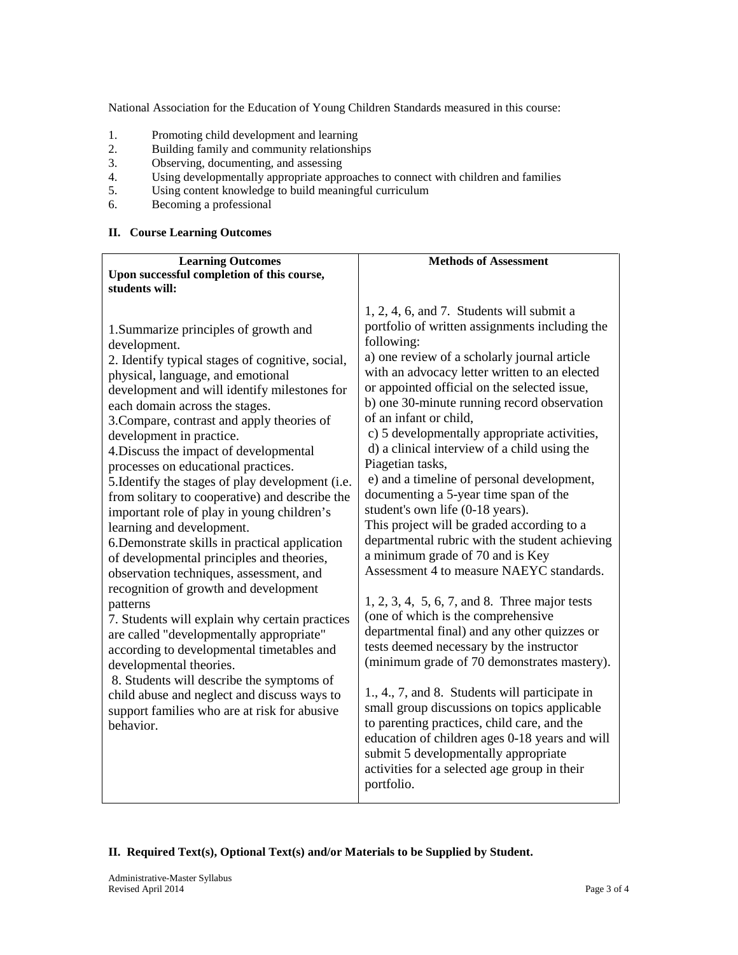National Association for the Education of Young Children Standards measured in this course:

- 1. Promoting child development and learning<br>2. Building family and community relationship
- 2. Building family and community relationships
- 3. Observing, documenting, and assessing<br>4. Using developmentally appropriate appr
- 4. Using developmentally appropriate approaches to connect with children and families 5. Using content knowledge to build meaningful curriculum
- Using content knowledge to build meaningful curriculum
- 6. Becoming a professional

## **II. Course Learning Outcomes**

| <b>Learning Outcomes</b>                                                                                                                                                                                                                                                                                                                                                                                                                                                                                                                                                                                                                                                                                                                                                                                                                                                                                                                                                                                                                                                                                   | <b>Methods of Assessment</b>                                                                                                                                                                                                                                                                                                                                                                                                                                                                                                                                                                                                                                                                                                                                                                                                                                                                                                                                                                                                                                                                                                                                                                                                                                                                                       |
|------------------------------------------------------------------------------------------------------------------------------------------------------------------------------------------------------------------------------------------------------------------------------------------------------------------------------------------------------------------------------------------------------------------------------------------------------------------------------------------------------------------------------------------------------------------------------------------------------------------------------------------------------------------------------------------------------------------------------------------------------------------------------------------------------------------------------------------------------------------------------------------------------------------------------------------------------------------------------------------------------------------------------------------------------------------------------------------------------------|--------------------------------------------------------------------------------------------------------------------------------------------------------------------------------------------------------------------------------------------------------------------------------------------------------------------------------------------------------------------------------------------------------------------------------------------------------------------------------------------------------------------------------------------------------------------------------------------------------------------------------------------------------------------------------------------------------------------------------------------------------------------------------------------------------------------------------------------------------------------------------------------------------------------------------------------------------------------------------------------------------------------------------------------------------------------------------------------------------------------------------------------------------------------------------------------------------------------------------------------------------------------------------------------------------------------|
| Upon successful completion of this course,                                                                                                                                                                                                                                                                                                                                                                                                                                                                                                                                                                                                                                                                                                                                                                                                                                                                                                                                                                                                                                                                 |                                                                                                                                                                                                                                                                                                                                                                                                                                                                                                                                                                                                                                                                                                                                                                                                                                                                                                                                                                                                                                                                                                                                                                                                                                                                                                                    |
| students will:                                                                                                                                                                                                                                                                                                                                                                                                                                                                                                                                                                                                                                                                                                                                                                                                                                                                                                                                                                                                                                                                                             |                                                                                                                                                                                                                                                                                                                                                                                                                                                                                                                                                                                                                                                                                                                                                                                                                                                                                                                                                                                                                                                                                                                                                                                                                                                                                                                    |
| 1. Summarize principles of growth and<br>development.<br>2. Identify typical stages of cognitive, social,<br>physical, language, and emotional<br>development and will identify milestones for<br>each domain across the stages.<br>3. Compare, contrast and apply theories of<br>development in practice.<br>4. Discuss the impact of developmental<br>processes on educational practices.<br>5. Identify the stages of play development (i.e.<br>from solitary to cooperative) and describe the<br>important role of play in young children's<br>learning and development.<br>6. Demonstrate skills in practical application<br>of developmental principles and theories,<br>observation techniques, assessment, and<br>recognition of growth and development<br>patterns<br>7. Students will explain why certain practices<br>are called "developmentally appropriate"<br>according to developmental timetables and<br>developmental theories.<br>8. Students will describe the symptoms of<br>child abuse and neglect and discuss ways to<br>support families who are at risk for abusive<br>behavior. | $1, 2, 4, 6, and 7$ . Students will submit a<br>portfolio of written assignments including the<br>following:<br>a) one review of a scholarly journal article<br>with an advocacy letter written to an elected<br>or appointed official on the selected issue,<br>b) one 30-minute running record observation<br>of an infant or child,<br>c) 5 developmentally appropriate activities,<br>d) a clinical interview of a child using the<br>Piagetian tasks,<br>e) and a timeline of personal development,<br>documenting a 5-year time span of the<br>student's own life (0-18 years).<br>This project will be graded according to a<br>departmental rubric with the student achieving<br>a minimum grade of 70 and is Key<br>Assessment 4 to measure NAEYC standards.<br>$1, 2, 3, 4, 5, 6, 7, and 8.$ Three major tests<br>(one of which is the comprehensive<br>departmental final) and any other quizzes or<br>tests deemed necessary by the instructor<br>(minimum grade of 70 demonstrates mastery).<br>1., 4., 7, and 8. Students will participate in<br>small group discussions on topics applicable<br>to parenting practices, child care, and the<br>education of children ages 0-18 years and will<br>submit 5 developmentally appropriate<br>activities for a selected age group in their<br>portfolio. |

## **II. Required Text(s), Optional Text(s) and/or Materials to be Supplied by Student.**